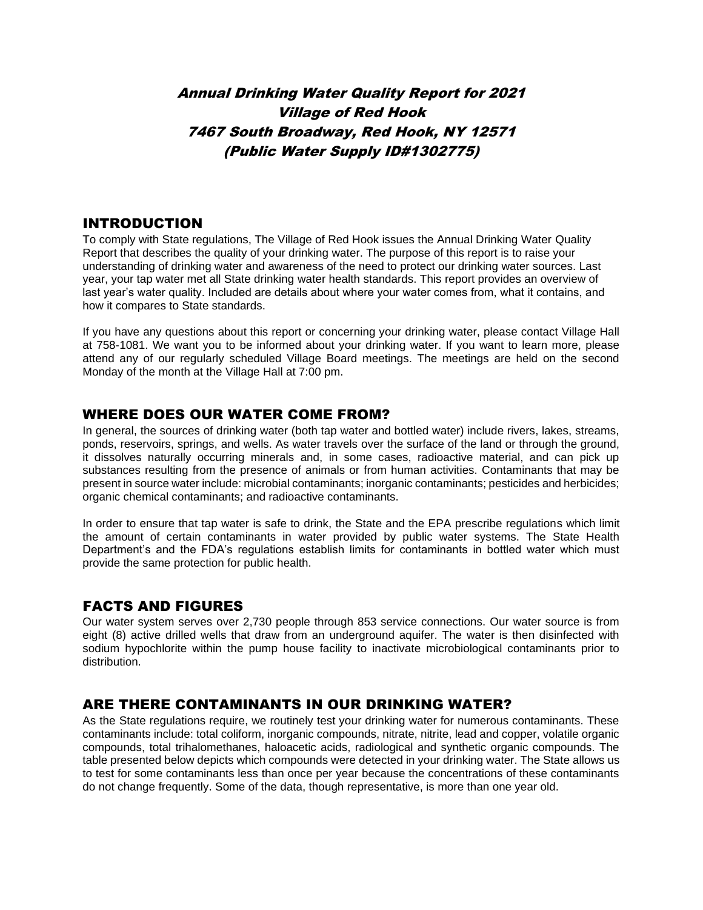# Annual Drinking Water Quality Report for 2021 Village of Red Hook 7467 South Broadway, Red Hook, NY 12571 (Public Water Supply ID#1302775)

#### INTRODUCTION

To comply with State regulations, The Village of Red Hook issues the Annual Drinking Water Quality Report that describes the quality of your drinking water. The purpose of this report is to raise your understanding of drinking water and awareness of the need to protect our drinking water sources. Last year, your tap water met all State drinking water health standards. This report provides an overview of last year's water quality. Included are details about where your water comes from, what it contains, and how it compares to State standards.

If you have any questions about this report or concerning your drinking water, please contact Village Hall at 758-1081. We want you to be informed about your drinking water. If you want to learn more, please attend any of our regularly scheduled Village Board meetings. The meetings are held on the second Monday of the month at the Village Hall at 7:00 pm.

#### WHERE DOES OUR WATER COME FROM?

In general, the sources of drinking water (both tap water and bottled water) include rivers, lakes, streams, ponds, reservoirs, springs, and wells. As water travels over the surface of the land or through the ground, it dissolves naturally occurring minerals and, in some cases, radioactive material, and can pick up substances resulting from the presence of animals or from human activities. Contaminants that may be present in source water include: microbial contaminants; inorganic contaminants; pesticides and herbicides; organic chemical contaminants; and radioactive contaminants.

In order to ensure that tap water is safe to drink, the State and the EPA prescribe regulations which limit the amount of certain contaminants in water provided by public water systems. The State Health Department's and the FDA's regulations establish limits for contaminants in bottled water which must provide the same protection for public health.

### FACTS AND FIGURES

Our water system serves over 2,730 people through 853 service connections. Our water source is from eight (8) active drilled wells that draw from an underground aquifer. The water is then disinfected with sodium hypochlorite within the pump house facility to inactivate microbiological contaminants prior to distribution.

#### ARE THERE CONTAMINANTS IN OUR DRINKING WATER?

As the State regulations require, we routinely test your drinking water for numerous contaminants. These contaminants include: total coliform, inorganic compounds, nitrate, nitrite, lead and copper, volatile organic compounds, total trihalomethanes, haloacetic acids, radiological and synthetic organic compounds. The table presented below depicts which compounds were detected in your drinking water. The State allows us to test for some contaminants less than once per year because the concentrations of these contaminants do not change frequently. Some of the data, though representative, is more than one year old.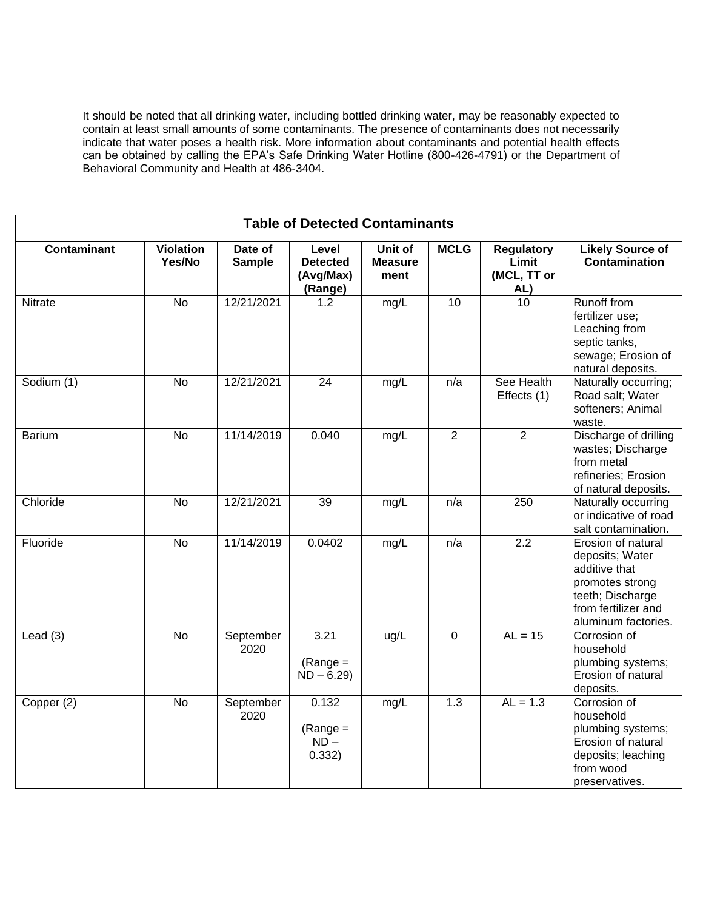It should be noted that all drinking water, including bottled drinking water, may be reasonably expected to contain at least small amounts of some contaminants. The presence of contaminants does not necessarily indicate that water poses a health risk. More information about contaminants and potential health effects can be obtained by calling the EPA's Safe Drinking Water Hotline (800-426-4791) or the Department of Behavioral Community and Health at 486-3404.

| <b>Table of Detected Contaminants</b> |                            |                          |                                                  |                                   |                  |                                           |                                                                                                                                             |
|---------------------------------------|----------------------------|--------------------------|--------------------------------------------------|-----------------------------------|------------------|-------------------------------------------|---------------------------------------------------------------------------------------------------------------------------------------------|
| <b>Contaminant</b>                    | <b>Violation</b><br>Yes/No | Date of<br><b>Sample</b> | Level<br><b>Detected</b><br>(Avg/Max)<br>(Range) | Unit of<br><b>Measure</b><br>ment | <b>MCLG</b>      | Regulatory<br>Limit<br>(MCL, TT or<br>AL) | <b>Likely Source of</b><br><b>Contamination</b>                                                                                             |
| Nitrate                               | $\overline{N}$             | 12/21/2021               | 1.2                                              | mg/L                              | $\overline{10}$  | 10 <sup>1</sup>                           | <b>Runoff from</b><br>fertilizer use;<br>Leaching from<br>septic tanks,<br>sewage; Erosion of<br>natural deposits.                          |
| Sodium (1)                            | <b>No</b>                  | 12/21/2021               | 24                                               | mg/L                              | n/a              | See Health<br>Effects (1)                 | Naturally occurring;<br>Road salt; Water<br>softeners; Animal<br>waste.                                                                     |
| <b>Barium</b>                         | <b>No</b>                  | 11/14/2019               | 0.040                                            | mg/L                              | $\overline{2}$   | $\overline{2}$                            | Discharge of drilling<br>wastes; Discharge<br>from metal<br>refineries; Erosion<br>of natural deposits.                                     |
| Chloride                              | <b>No</b>                  | 12/21/2021               | 39                                               | mg/L                              | n/a              | 250                                       | Naturally occurring<br>or indicative of road<br>salt contamination.                                                                         |
| Fluoride                              | No                         | 11/14/2019               | 0.0402                                           | mg/L                              | n/a              | 2.2                                       | Erosion of natural<br>deposits; Water<br>additive that<br>promotes strong<br>teeth; Discharge<br>from fertilizer and<br>aluminum factories. |
| Lead $(3)$                            | <b>No</b>                  | September<br>2020        | 3.21<br>$(Range =$<br>$ND - 6.29$                | ug/L                              | 0                | $AL = 15$                                 | Corrosion of<br>household<br>plumbing systems;<br>Erosion of natural<br>deposits.                                                           |
| Copper (2)                            | <b>No</b>                  | September<br>2020        | 0.132<br>$(Range =$<br>$ND -$<br>0.332)          | mg/L                              | $\overline{1.3}$ | $AL = 1.3$                                | Corrosion of<br>household<br>plumbing systems;<br>Erosion of natural<br>deposits; leaching<br>from wood<br>preservatives.                   |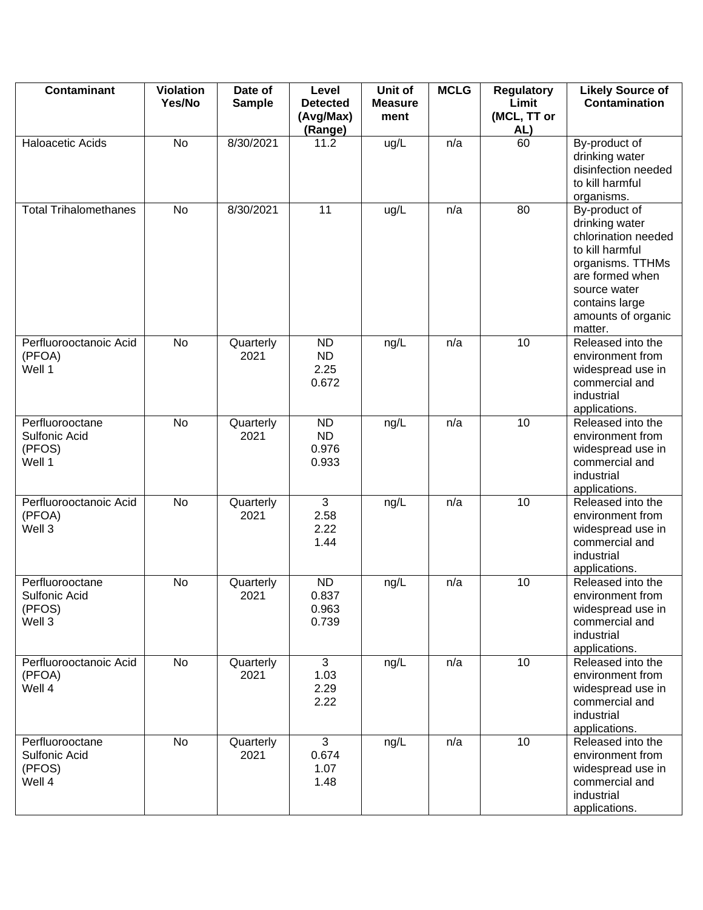| <b>Contaminant</b>                                          | <b>Violation</b><br>Yes/No | Date of<br><b>Sample</b> | Level<br><b>Detected</b><br>(Avg/Max)    | Unit of<br><b>Measure</b><br>ment | <b>MCLG</b> | <b>Regulatory</b><br>Limit<br>(MCL, TT or | <b>Likely Source of</b><br><b>Contamination</b>                                                                                                                                     |
|-------------------------------------------------------------|----------------------------|--------------------------|------------------------------------------|-----------------------------------|-------------|-------------------------------------------|-------------------------------------------------------------------------------------------------------------------------------------------------------------------------------------|
|                                                             |                            |                          | (Range)                                  |                                   |             | AL)                                       |                                                                                                                                                                                     |
| Haloacetic Acids                                            | No                         | 8/30/2021                | 11.2                                     | ug/L                              | n/a         | 60                                        | By-product of<br>drinking water<br>disinfection needed<br>to kill harmful<br>organisms.                                                                                             |
| <b>Total Trihalomethanes</b>                                | <b>No</b>                  | 8/30/2021                | 11                                       | ug/L                              | n/a         | 80                                        | By-product of<br>drinking water<br>chlorination needed<br>to kill harmful<br>organisms. TTHMs<br>are formed when<br>source water<br>contains large<br>amounts of organic<br>matter. |
| Perfluorooctanoic Acid<br>(PFOA)<br>Well 1                  | No                         | Quarterly<br>2021        | <b>ND</b><br><b>ND</b><br>2.25<br>0.672  | ng/L                              | n/a         | 10                                        | Released into the<br>environment from<br>widespread use in<br>commercial and<br>industrial<br>applications.                                                                         |
| Perfluorooctane<br><b>Sulfonic Acid</b><br>(PFOS)<br>Well 1 | No                         | Quarterly<br>2021        | <b>ND</b><br><b>ND</b><br>0.976<br>0.933 | ng/L                              | n/a         | 10                                        | Released into the<br>environment from<br>widespread use in<br>commercial and<br>industrial<br>applications.                                                                         |
| Perfluorooctanoic Acid<br>(PFOA)<br>Well 3                  | <b>No</b>                  | Quarterly<br>2021        | 3<br>2.58<br>2.22<br>1.44                | ng/L                              | n/a         | 10                                        | Released into the<br>environment from<br>widespread use in<br>commercial and<br>industrial<br>applications.                                                                         |
| Perfluorooctane<br>Sulfonic Acid<br>(PFOS)<br>Well 3        | <b>No</b>                  | Quarterly<br>2021        | <b>ND</b><br>0.837<br>0.963<br>0.739     | ng/L                              | n/a         | 10                                        | Released into the<br>environment from<br>widespread use in<br>commercial and<br>industrial<br>applications.                                                                         |
| Perfluorooctanoic Acid<br>(PFOA)<br>Well 4                  | No                         | Quarterly<br>2021        | 3<br>1.03<br>2.29<br>2.22                | ng/L                              | n/a         | 10                                        | Released into the<br>environment from<br>widespread use in<br>commercial and<br>industrial<br>applications.                                                                         |
| Perfluorooctane<br>Sulfonic Acid<br>(PFOS)<br>Well 4        | No                         | Quarterly<br>2021        | 3<br>0.674<br>1.07<br>1.48               | ng/L                              | n/a         | 10                                        | Released into the<br>environment from<br>widespread use in<br>commercial and<br>industrial<br>applications.                                                                         |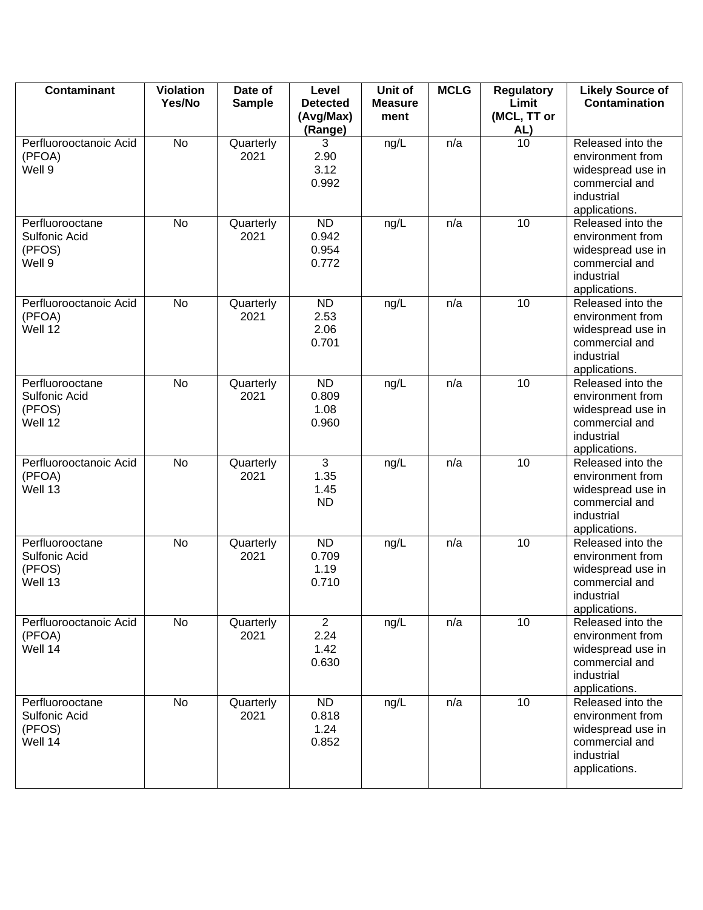| <b>Contaminant</b>                                          | <b>Violation</b><br>Yes/No | Date of<br><b>Sample</b> | Level<br><b>Detected</b><br>(Avg/Max)<br>(Range) | Unit of<br><b>Measure</b><br>ment | <b>MCLG</b> | <b>Regulatory</b><br>Limit<br>(MCL, TT or<br>AL) | <b>Likely Source of</b><br><b>Contamination</b>                                                             |
|-------------------------------------------------------------|----------------------------|--------------------------|--------------------------------------------------|-----------------------------------|-------------|--------------------------------------------------|-------------------------------------------------------------------------------------------------------------|
| Perfluorooctanoic Acid<br>(PFOA)<br>Well 9                  | <b>No</b>                  | Quarterly<br>2021        | 3<br>2.90<br>3.12<br>0.992                       | ng/L                              | n/a         | $\overline{10}$                                  | Released into the<br>environment from<br>widespread use in<br>commercial and<br>industrial<br>applications. |
| Perfluorooctane<br><b>Sulfonic Acid</b><br>(PFOS)<br>Well 9 | <b>No</b>                  | Quarterly<br>2021        | <b>ND</b><br>0.942<br>0.954<br>0.772             | ng/L                              | n/a         | 10                                               | Released into the<br>environment from<br>widespread use in<br>commercial and<br>industrial<br>applications. |
| Perfluorooctanoic Acid<br>(PFOA)<br>Well 12                 | No                         | Quarterly<br>2021        | <b>ND</b><br>2.53<br>2.06<br>0.701               | ng/L                              | n/a         | 10                                               | Released into the<br>environment from<br>widespread use in<br>commercial and<br>industrial<br>applications. |
| Perfluorooctane<br>Sulfonic Acid<br>(PFOS)<br>Well 12       | No                         | Quarterly<br>2021        | <b>ND</b><br>0.809<br>1.08<br>0.960              | ng/L                              | n/a         | 10                                               | Released into the<br>environment from<br>widespread use in<br>commercial and<br>industrial<br>applications. |
| Perfluorooctanoic Acid<br>(PFOA)<br>Well 13                 | No                         | Quarterly<br>2021        | 3<br>1.35<br>1.45<br><b>ND</b>                   | ng/L                              | n/a         | 10                                               | Released into the<br>environment from<br>widespread use in<br>commercial and<br>industrial<br>applications. |
| Perfluorooctane<br>Sulfonic Acid<br>(PFOS)<br>Well 13       | <b>No</b>                  | Quarterly<br>2021        | <b>ND</b><br>0.709<br>1.19<br>0.710              | ng/L                              | n/a         | 10                                               | Released into the<br>environment from<br>widespread use in<br>commercial and<br>industrial<br>applications. |
| Perfluorooctanoic Acid<br>(PFOA)<br>Well 14                 | No                         | Quarterly<br>2021        | $\overline{2}$<br>2.24<br>1.42<br>0.630          | ng/L                              | n/a         | 10                                               | Released into the<br>environment from<br>widespread use in<br>commercial and<br>industrial<br>applications. |
| Perfluorooctane<br>Sulfonic Acid<br>(PFOS)<br>Well 14       | No                         | Quarterly<br>2021        | <b>ND</b><br>0.818<br>1.24<br>0.852              | ng/L                              | n/a         | 10                                               | Released into the<br>environment from<br>widespread use in<br>commercial and<br>industrial<br>applications. |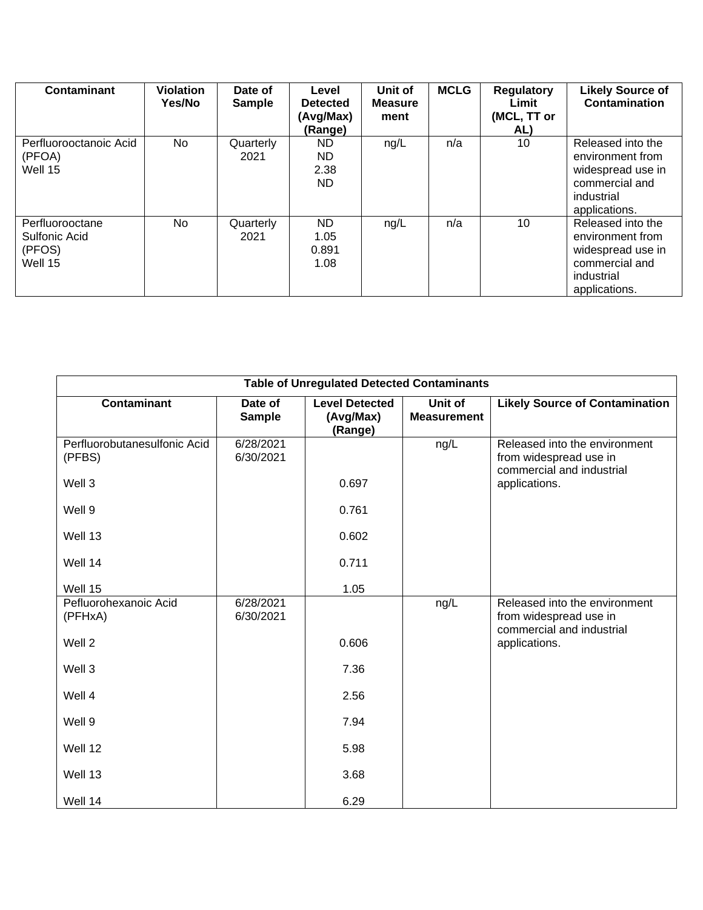| <b>Contaminant</b>                                    | <b>Violation</b><br>Yes/No | Date of<br><b>Sample</b> | Level<br><b>Detected</b><br>(Avg/Max)<br>(Range) | Unit of<br><b>Measure</b><br>ment | <b>MCLG</b> | <b>Regulatory</b><br>Limit<br>(MCL, TT or<br>AL) | <b>Likely Source of</b><br><b>Contamination</b>                                                             |
|-------------------------------------------------------|----------------------------|--------------------------|--------------------------------------------------|-----------------------------------|-------------|--------------------------------------------------|-------------------------------------------------------------------------------------------------------------|
| Perfluorooctanoic Acid<br>(PFOA)<br>Well 15           | No                         | Quarterly<br>2021        | ND.<br>ND.<br>2.38<br>ND.                        | ng/L                              | n/a         | 10                                               | Released into the<br>environment from<br>widespread use in<br>commercial and<br>industrial<br>applications. |
| Perfluorooctane<br>Sulfonic Acid<br>(PFOS)<br>Well 15 | <b>No</b>                  | Quarterly<br>2021        | ND.<br>1.05<br>0.891<br>1.08                     | ng/L                              | n/a         | 10                                               | Released into the<br>environment from<br>widespread use in<br>commercial and<br>industrial<br>applications. |

| <b>Table of Unregulated Detected Contaminants</b> |                        |                                               |                               |                                                                                      |  |  |  |  |
|---------------------------------------------------|------------------------|-----------------------------------------------|-------------------------------|--------------------------------------------------------------------------------------|--|--|--|--|
| <b>Contaminant</b>                                | Date of<br>Sample      | <b>Level Detected</b><br>(Avg/Max)<br>(Range) | Unit of<br><b>Measurement</b> | <b>Likely Source of Contamination</b>                                                |  |  |  |  |
| Perfluorobutanesulfonic Acid<br>(PFBS)            | 6/28/2021<br>6/30/2021 |                                               | ng/L                          | Released into the environment<br>from widespread use in<br>commercial and industrial |  |  |  |  |
| Well 3                                            |                        | 0.697                                         |                               | applications.                                                                        |  |  |  |  |
| Well 9                                            |                        | 0.761                                         |                               |                                                                                      |  |  |  |  |
| Well 13                                           |                        | 0.602                                         |                               |                                                                                      |  |  |  |  |
| Well 14                                           |                        | 0.711                                         |                               |                                                                                      |  |  |  |  |
| Well 15                                           |                        | 1.05                                          |                               |                                                                                      |  |  |  |  |
| Pefluorohexanoic Acid<br>(PFHxA)                  | 6/28/2021<br>6/30/2021 |                                               | ng/L                          | Released into the environment<br>from widespread use in<br>commercial and industrial |  |  |  |  |
| Well 2                                            |                        | 0.606                                         |                               | applications.                                                                        |  |  |  |  |
| Well 3                                            |                        | 7.36                                          |                               |                                                                                      |  |  |  |  |
| Well 4                                            |                        | 2.56                                          |                               |                                                                                      |  |  |  |  |
| Well 9                                            |                        | 7.94                                          |                               |                                                                                      |  |  |  |  |
| Well 12                                           |                        | 5.98                                          |                               |                                                                                      |  |  |  |  |
| Well 13                                           |                        | 3.68                                          |                               |                                                                                      |  |  |  |  |
| Well 14                                           |                        | 6.29                                          |                               |                                                                                      |  |  |  |  |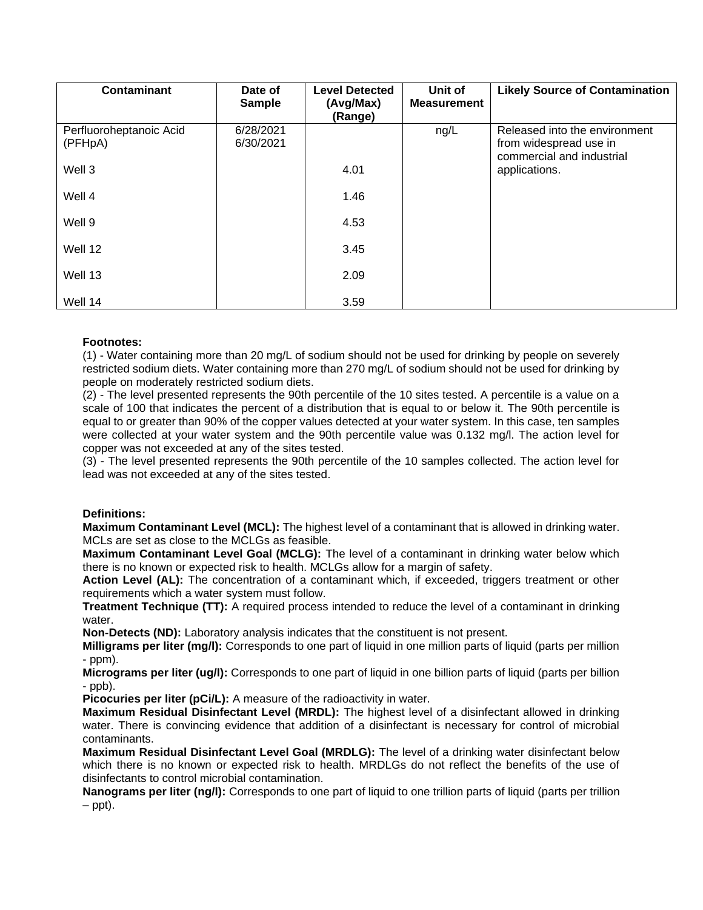| <b>Contaminant</b>                 | Date of<br><b>Sample</b> | <b>Level Detected</b><br>(Avg/Max)<br>(Range) | Unit of<br><b>Measurement</b> | <b>Likely Source of Contamination</b>                                                |
|------------------------------------|--------------------------|-----------------------------------------------|-------------------------------|--------------------------------------------------------------------------------------|
| Perfluoroheptanoic Acid<br>(PFHpA) | 6/28/2021<br>6/30/2021   |                                               | ng/L                          | Released into the environment<br>from widespread use in<br>commercial and industrial |
| Well 3                             |                          | 4.01                                          |                               | applications.                                                                        |
| Well 4                             |                          | 1.46                                          |                               |                                                                                      |
| Well 9                             |                          | 4.53                                          |                               |                                                                                      |
| Well 12                            |                          | 3.45                                          |                               |                                                                                      |
| Well 13                            |                          | 2.09                                          |                               |                                                                                      |
| Well 14                            |                          | 3.59                                          |                               |                                                                                      |

#### **Footnotes:**

(1) - Water containing more than 20 mg/L of sodium should not be used for drinking by people on severely restricted sodium diets. Water containing more than 270 mg/L of sodium should not be used for drinking by people on moderately restricted sodium diets.

(2) - The level presented represents the 90th percentile of the 10 sites tested. A percentile is a value on a scale of 100 that indicates the percent of a distribution that is equal to or below it. The 90th percentile is equal to or greater than 90% of the copper values detected at your water system. In this case, ten samples were collected at your water system and the 90th percentile value was 0.132 mg/l. The action level for copper was not exceeded at any of the sites tested.

(3) - The level presented represents the 90th percentile of the 10 samples collected. The action level for lead was not exceeded at any of the sites tested.

#### **Definitions:**

**Maximum Contaminant Level (MCL):** The highest level of a contaminant that is allowed in drinking water. MCLs are set as close to the MCLGs as feasible.

**Maximum Contaminant Level Goal (MCLG):** The level of a contaminant in drinking water below which there is no known or expected risk to health. MCLGs allow for a margin of safety.

**Action Level (AL):** The concentration of a contaminant which, if exceeded, triggers treatment or other requirements which a water system must follow.

**Treatment Technique (TT):** A required process intended to reduce the level of a contaminant in drinking water.

**Non-Detects (ND):** Laboratory analysis indicates that the constituent is not present.

**Milligrams per liter (mg/l):** Corresponds to one part of liquid in one million parts of liquid (parts per million - ppm).

**Micrograms per liter (ug/l):** Corresponds to one part of liquid in one billion parts of liquid (parts per billion  $-p$ ppb).

**Picocuries per liter (pCi/L):** A measure of the radioactivity in water.

**Maximum Residual Disinfectant Level (MRDL):** The highest level of a disinfectant allowed in drinking water. There is convincing evidence that addition of a disinfectant is necessary for control of microbial contaminants.

**Maximum Residual Disinfectant Level Goal (MRDLG):** The level of a drinking water disinfectant below which there is no known or expected risk to health. MRDLGs do not reflect the benefits of the use of disinfectants to control microbial contamination.

**Nanograms per liter (ng/l):** Corresponds to one part of liquid to one trillion parts of liquid (parts per trillion  $–$  ppt).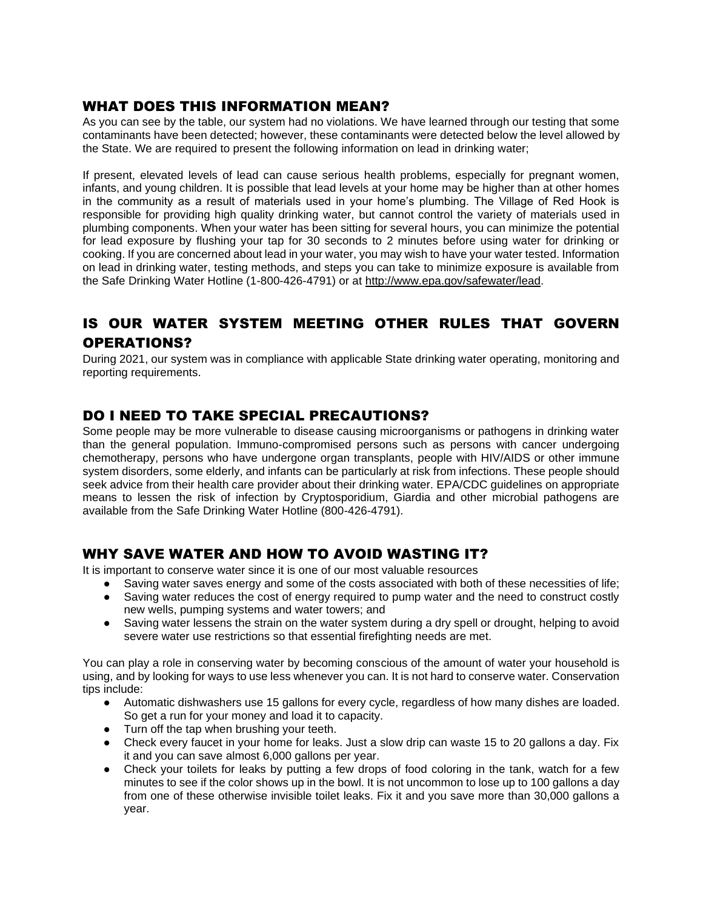#### WHAT DOES THIS INFORMATION MEAN?

As you can see by the table, our system had no violations. We have learned through our testing that some contaminants have been detected; however, these contaminants were detected below the level allowed by the State. We are required to present the following information on lead in drinking water;

If present, elevated levels of lead can cause serious health problems, especially for pregnant women, infants, and young children. It is possible that lead levels at your home may be higher than at other homes in the community as a result of materials used in your home's plumbing. The Village of Red Hook is responsible for providing high quality drinking water, but cannot control the variety of materials used in plumbing components. When your water has been sitting for several hours, you can minimize the potential for lead exposure by flushing your tap for 30 seconds to 2 minutes before using water for drinking or cooking. If you are concerned about lead in your water, you may wish to have your water tested. Information on lead in drinking water, testing methods, and steps you can take to minimize exposure is available from the Safe Drinking Water Hotline (1-800-426-4791) or at http://www.epa.gov/safewater/lead.

## IS OUR WATER SYSTEM MEETING OTHER RULES THAT GOVERN OPERATIONS?

During 2021, our system was in compliance with applicable State drinking water operating, monitoring and reporting requirements.

### DO I NEED TO TAKE SPECIAL PRECAUTIONS?

Some people may be more vulnerable to disease causing microorganisms or pathogens in drinking water than the general population. Immuno-compromised persons such as persons with cancer undergoing chemotherapy, persons who have undergone organ transplants, people with HIV/AIDS or other immune system disorders, some elderly, and infants can be particularly at risk from infections. These people should seek advice from their health care provider about their drinking water. EPA/CDC guidelines on appropriate means to lessen the risk of infection by Cryptosporidium, Giardia and other microbial pathogens are available from the Safe Drinking Water Hotline (800-426-4791).

### WHY SAVE WATER AND HOW TO AVOID WASTING IT?

It is important to conserve water since it is one of our most valuable resources

- Saving water saves energy and some of the costs associated with both of these necessities of life;
- Saving water reduces the cost of energy required to pump water and the need to construct costly new wells, pumping systems and water towers; and
- Saving water lessens the strain on the water system during a dry spell or drought, helping to avoid severe water use restrictions so that essential firefighting needs are met.

You can play a role in conserving water by becoming conscious of the amount of water your household is using, and by looking for ways to use less whenever you can. It is not hard to conserve water. Conservation tips include:

- Automatic dishwashers use 15 gallons for every cycle, regardless of how many dishes are loaded. So get a run for your money and load it to capacity.
- Turn off the tap when brushing your teeth.
- Check every faucet in your home for leaks. Just a slow drip can waste 15 to 20 gallons a day. Fix it and you can save almost 6,000 gallons per year.
- Check your toilets for leaks by putting a few drops of food coloring in the tank, watch for a few minutes to see if the color shows up in the bowl. It is not uncommon to lose up to 100 gallons a day from one of these otherwise invisible toilet leaks. Fix it and you save more than 30,000 gallons a year.